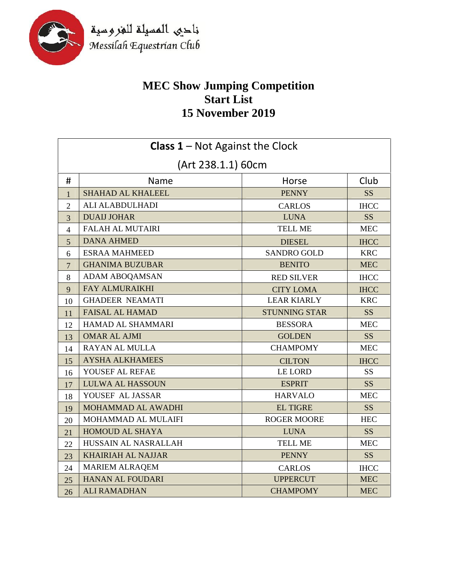

## **MEC Show Jumping Competition Start List 15 November 2019**

| <b>Class 1 - Not Against the Clock</b> |                           |                      |                 |
|----------------------------------------|---------------------------|----------------------|-----------------|
| (Art 238.1.1) 60cm                     |                           |                      |                 |
| #                                      | <b>Name</b>               | Horse                | Club            |
| $\mathbf{1}$                           | <b>SHAHAD AL KHALEEL</b>  | <b>PENNY</b>         | SS <sub>1</sub> |
| $\overline{2}$                         | ALI ALABDULHADI           | <b>CARLOS</b>        | <b>IHCC</b>     |
| 3                                      | <b>DUAIJ JOHAR</b>        | <b>LUNA</b>          | <b>SS</b>       |
| $\overline{4}$                         | <b>FALAH AL MUTAIRI</b>   | <b>TELL ME</b>       | <b>MEC</b>      |
| 5                                      | <b>DANA AHMED</b>         | <b>DIESEL</b>        | <b>IHCC</b>     |
| 6                                      | <b>ESRAA MAHMEED</b>      | <b>SANDRO GOLD</b>   | <b>KRC</b>      |
| $\overline{7}$                         | <b>GHANIMA BUZUBAR</b>    | <b>BENITO</b>        | <b>MEC</b>      |
| 8                                      | ADAM ABOQAMSAN            | <b>RED SILVER</b>    | <b>IHCC</b>     |
| 9                                      | <b>FAY ALMURAIKHI</b>     | <b>CITY LOMA</b>     | <b>IHCC</b>     |
| 10                                     | <b>GHADEER NEAMATI</b>    | <b>LEAR KIARLY</b>   | <b>KRC</b>      |
| 11                                     | <b>FAISAL AL HAMAD</b>    | <b>STUNNING STAR</b> | SS <sup>1</sup> |
| 12                                     | <b>HAMAD AL SHAMMARI</b>  | <b>BESSORA</b>       | <b>MEC</b>      |
| 13                                     | <b>OMAR AL AJMI</b>       | <b>GOLDEN</b>        | <b>SS</b>       |
| 14                                     | <b>RAYAN AL MULLA</b>     | <b>CHAMPOMY</b>      | <b>MEC</b>      |
| 15                                     | <b>AYSHA ALKHAMEES</b>    | <b>CILTON</b>        | <b>IHCC</b>     |
| 16                                     | YOUSEF AL REFAE           | <b>LE LORD</b>       | <b>SS</b>       |
| 17                                     | <b>LULWA AL HASSOUN</b>   | <b>ESPRIT</b>        | <b>SS</b>       |
| 18                                     | YOUSEF AL JASSAR          | <b>HARVALO</b>       | <b>MEC</b>      |
| 19                                     | MOHAMMAD AL AWADHI        | <b>EL TIGRE</b>      | <b>SS</b>       |
| 20                                     | MOHAMMAD AL MULAIFI       | <b>ROGER MOORE</b>   | <b>HEC</b>      |
| 21                                     | <b>HOMOUD AL SHAYA</b>    | <b>LUNA</b>          | <b>SS</b>       |
| 22                                     | HUSSAIN AL NASRALLAH      | <b>TELL ME</b>       | <b>MEC</b>      |
| 23                                     | <b>KHAIRIAH AL NAJJAR</b> | <b>PENNY</b>         | SS              |
| 24                                     | <b>MARIEM ALRAQEM</b>     | <b>CARLOS</b>        | <b>IHCC</b>     |
| 25                                     | <b>HANAN AL FOUDARI</b>   | <b>UPPERCUT</b>      | <b>MEC</b>      |
| 26                                     | <b>ALI RAMADHAN</b>       | <b>CHAMPOMY</b>      | <b>MEC</b>      |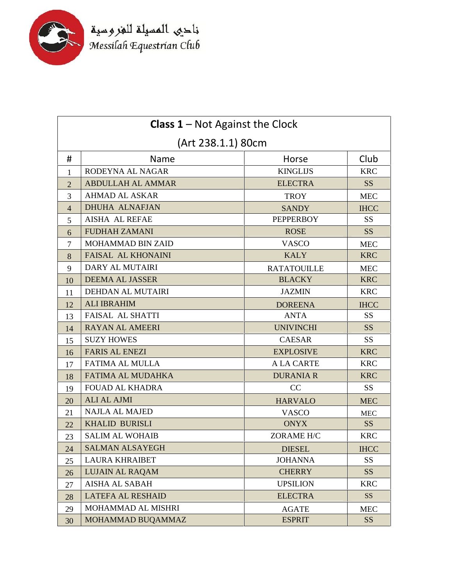

| <b>Class 1</b> – Not Against the Clock |                          |                    |                 |  |
|----------------------------------------|--------------------------|--------------------|-----------------|--|
| (Art 238.1.1) 80cm                     |                          |                    |                 |  |
| #                                      | <b>Name</b>              | Horse              | Club            |  |
| $\mathbf{1}$                           | RODEYNA AL NAGAR         | <b>KINGLIJS</b>    | <b>KRC</b>      |  |
| $\overline{2}$                         | <b>ABDULLAH AL AMMAR</b> | <b>ELECTRA</b>     | <b>SS</b>       |  |
| 3                                      | <b>AHMAD AL ASKAR</b>    | <b>TROY</b>        | <b>MEC</b>      |  |
| $\overline{4}$                         | <b>DHUHA ALNAFJAN</b>    | <b>SANDY</b>       | <b>IHCC</b>     |  |
| 5                                      | <b>AISHA AL REFAE</b>    | <b>PEPPERBOY</b>   | <b>SS</b>       |  |
| 6                                      | <b>FUDHAH ZAMANI</b>     | <b>ROSE</b>        | <b>SS</b>       |  |
| 7                                      | MOHAMMAD BIN ZAID        | <b>VASCO</b>       | <b>MEC</b>      |  |
| 8                                      | FAISAL AL KHONAINI       | <b>KALY</b>        | <b>KRC</b>      |  |
| 9                                      | DARY AL MUTAIRI          | <b>RATATOUILLE</b> | <b>MEC</b>      |  |
| 10                                     | <b>DEEMA AL JASSER</b>   | <b>BLACKY</b>      | <b>KRC</b>      |  |
| 11                                     | <b>DEHDAN AL MUTAIRI</b> | <b>JAZMIN</b>      | <b>KRC</b>      |  |
| 12                                     | <b>ALI IBRAHIM</b>       | <b>DOREENA</b>     | <b>IHCC</b>     |  |
| 13                                     | <b>FAISAL AL SHATTI</b>  | <b>ANTA</b>        | <b>SS</b>       |  |
| 14                                     | <b>RAYAN AL AMEERI</b>   | <b>UNIVINCHI</b>   | <b>SS</b>       |  |
| 15                                     | <b>SUZY HOWES</b>        | <b>CAESAR</b>      | <b>SS</b>       |  |
| 16                                     | <b>FARIS AL ENEZI</b>    | <b>EXPLOSIVE</b>   | <b>KRC</b>      |  |
| 17                                     | <b>FATIMA AL MULLA</b>   | <b>A LA CARTE</b>  | <b>KRC</b>      |  |
| 18                                     | <b>FATIMA AL MUDAHKA</b> | <b>DURANIA R</b>   | <b>KRC</b>      |  |
| 19                                     | <b>FOUAD AL KHADRA</b>   | CC                 | <b>SS</b>       |  |
| 20                                     | <b>ALI AL AJMI</b>       | <b>HARVALO</b>     | <b>MEC</b>      |  |
| 21                                     | <b>NAJLA AL MAJED</b>    | <b>VASCO</b>       | <b>MEC</b>      |  |
| 22                                     | <b>KHALID BURISLI</b>    | <b>ONYX</b>        | SS <sup>1</sup> |  |
| 23                                     | <b>SALIM AL WOHAIB</b>   | <b>ZORAME H/C</b>  | <b>KRC</b>      |  |
| 24                                     | <b>SALMAN ALSAYEGH</b>   | <b>DIESEL</b>      | <b>IHCC</b>     |  |
| 25                                     | <b>LAURA KHRAIBET</b>    | <b>JOHANNA</b>     | <b>SS</b>       |  |
| 26                                     | <b>LUJAIN AL RAQAM</b>   | <b>CHERRY</b>      | <b>SS</b>       |  |
| 27                                     | <b>AISHA AL SABAH</b>    | <b>UPSILION</b>    | <b>KRC</b>      |  |
| 28                                     | <b>LATEFA AL RESHAID</b> | <b>ELECTRA</b>     | SS              |  |
| 29                                     | MOHAMMAD AL MISHRI       | <b>AGATE</b>       | <b>MEC</b>      |  |
| 30                                     | MOHAMMAD BUQAMMAZ        | <b>ESPRIT</b>      | <b>SS</b>       |  |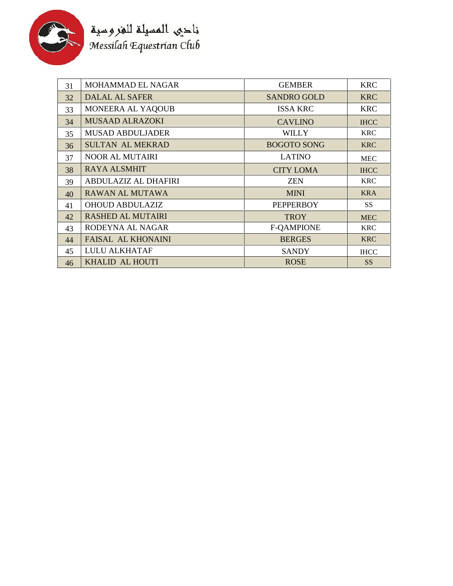

| 31 | <b>MOHAMMAD EL NAGAR</b>    | <b>GEMBER</b>      | <b>KRC</b>      |
|----|-----------------------------|--------------------|-----------------|
| 32 | DALAL AL SAFER              | <b>SANDRO GOLD</b> | <b>KRC</b>      |
| 33 | MONEERA AL YAQOUB           | <b>ISSA KRC</b>    | <b>KRC</b>      |
| 34 | <b>MUSAAD ALRAZOKI</b>      | <b>CAVLINO</b>     | <b>IHCC</b>     |
| 35 | <b>MUSAD ABDULJADER</b>     | <b>WILLY</b>       | <b>KRC</b>      |
| 36 | <b>SULTAN AL MEKRAD</b>     | <b>BOGOTO SONG</b> | <b>KRC</b>      |
| 37 | <b>NOOR AL MUTAIRI</b>      | <b>LATINO</b>      | <b>MEC</b>      |
| 38 | <b>RAYA ALSMHIT</b>         | <b>CITY LOMA</b>   | <b>IHCC</b>     |
| 39 | <b>ABDULAZIZ AL DHAFIRI</b> | <b>ZEN</b>         | <b>KRC</b>      |
| 40 | RAWAN AL MUTAWA             | <b>MINI</b>        | <b>KRA</b>      |
| 41 | <b>OHOUD ABDULAZIZ</b>      | <b>PEPPERBOY</b>   | SS <sup>-</sup> |
| 42 | <b>RASHED AL MUTAIRI</b>    | <b>TROY</b>        | <b>MEC</b>      |
| 43 | RODEYNA AL NAGAR            | <b>F-QAMPIONE</b>  | <b>KRC</b>      |
| 44 | <b>FAISAL AL KHONAINI</b>   | <b>BERGES</b>      | <b>KRC</b>      |
| 45 | <b>LULU ALKHATAF</b>        | <b>SANDY</b>       | <b>IHCC</b>     |
| 46 | KHALID AL HOUTI             | <b>ROSE</b>        | <b>SS</b>       |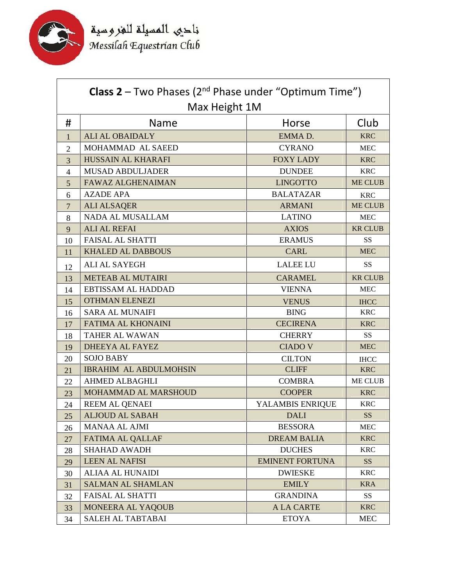

| <b>Class 2</b> – Two Phases ( $2^{nd}$ Phase under "Optimum Time") |                               |                        |                |
|--------------------------------------------------------------------|-------------------------------|------------------------|----------------|
|                                                                    | Max Height 1M                 |                        |                |
| #                                                                  | Name                          | Horse                  | Club           |
| 1                                                                  | <b>ALI AL OBAIDALY</b>        | EMMAD.                 | <b>KRC</b>     |
| $\overline{2}$                                                     | MOHAMMAD AL SAEED             | <b>CYRANO</b>          | <b>MEC</b>     |
| 3                                                                  | HUSSAIN AL KHARAFI            | <b>FOXY LADY</b>       | <b>KRC</b>     |
| $\overline{4}$                                                     | <b>MUSAD ABDULJADER</b>       | <b>DUNDEE</b>          | <b>KRC</b>     |
| 5                                                                  | <b>FAWAZ ALGHENAIMAN</b>      | <b>LINGOTTO</b>        | <b>ME CLUB</b> |
| 6                                                                  | <b>AZADE APA</b>              | <b>BALATAZAR</b>       | <b>KRC</b>     |
| $\overline{7}$                                                     | <b>ALI ALSAQER</b>            | <b>ARMANI</b>          | <b>ME CLUB</b> |
| 8                                                                  | <b>NADA AL MUSALLAM</b>       | <b>LATINO</b>          | <b>MEC</b>     |
| 9                                                                  | <b>ALI AL REFAI</b>           | <b>AXIOS</b>           | <b>KR CLUB</b> |
| 10                                                                 | <b>FAISAL AL SHATTI</b>       | <b>ERAMUS</b>          | <b>SS</b>      |
| 11                                                                 | <b>KHALED AL DABBOUS</b>      | <b>CARL</b>            | <b>MEC</b>     |
| 12                                                                 | <b>ALI AL SAYEGH</b>          | <b>LALEE LU</b>        | <b>SS</b>      |
| 13                                                                 | <b>METEAB AL MUTAIRI</b>      | <b>CARAMEL</b>         | <b>KR CLUB</b> |
| 14                                                                 | EBTISSAM AL HADDAD            | <b>VIENNA</b>          | <b>MEC</b>     |
| 15                                                                 | <b>OTHMAN ELENEZI</b>         | <b>VENUS</b>           | <b>IHCC</b>    |
| 16                                                                 | <b>SARA AL MUNAIFI</b>        | <b>BING</b>            | <b>KRC</b>     |
| 17                                                                 | FATIMA AL KHONAINI            | <b>CECIRENA</b>        | <b>KRC</b>     |
| 18                                                                 | <b>TAHER AL WAWAN</b>         | <b>CHERRY</b>          | <b>SS</b>      |
| 19                                                                 | DHEEYA AL FAYEZ               | <b>CIADO V</b>         | <b>MEC</b>     |
| 20                                                                 | <b>SOJO BABY</b>              | <b>CILTON</b>          | <b>IHCC</b>    |
| 21                                                                 | <b>IBRAHIM AL ABDULMOHSIN</b> | <b>CLIFF</b>           | <b>KRC</b>     |
| 22                                                                 | <b>AHMED ALBAGHLI</b>         | <b>COMBRA</b>          | <b>ME CLUB</b> |
| 23                                                                 | <b>MOHAMMAD AL MARSHOUD</b>   | <b>COOPER</b>          | <b>KRC</b>     |
| 24                                                                 | <b>REEM AL QENAEI</b>         | YALAMBIS ENRIQUE       | <b>KRC</b>     |
| 25                                                                 | <b>ALJOUD AL SABAH</b>        | <b>DALI</b>            | <b>SS</b>      |
| 26                                                                 | MANAA AL AJMI                 | <b>BESSORA</b>         | ${\rm MEC}$    |
| 27                                                                 | <b>FATIMA AL QALLAF</b>       | <b>DREAM BALIA</b>     | <b>KRC</b>     |
| 28                                                                 | <b>SHAHAD AWADH</b>           | <b>DUCHES</b>          | <b>KRC</b>     |
| 29                                                                 | <b>LEEN AL NAFISI</b>         | <b>EMINENT FORTUNA</b> | SS             |
| 30                                                                 | <b>ALIAA AL HUNAIDI</b>       | <b>DWIESKE</b>         | <b>KRC</b>     |
| 31                                                                 | <b>SALMAN AL SHAMLAN</b>      | <b>EMILY</b>           | <b>KRA</b>     |
| 32                                                                 | <b>FAISAL AL SHATTI</b>       | <b>GRANDINA</b>        | SS             |
| 33                                                                 | MONEERA AL YAQOUB             | <b>ALA CARTE</b>       | <b>KRC</b>     |
| 34                                                                 | SALEH AL TABTABAI             | <b>ETOYA</b>           | <b>MEC</b>     |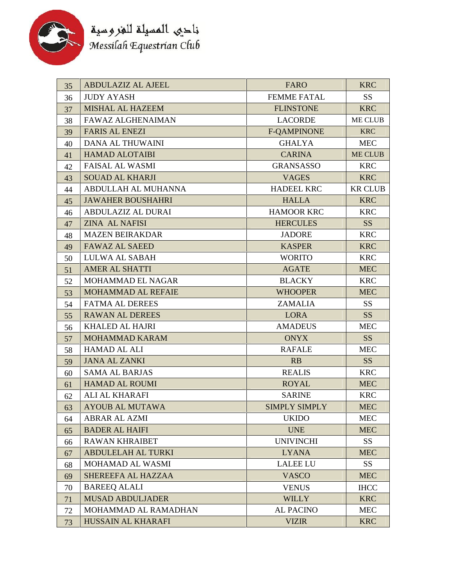

| ABDULAZIZ AL AJEEL<br><b>FARO</b><br>35              | <b>KRC</b>      |
|------------------------------------------------------|-----------------|
| <b>JUDY AYASH</b><br><b>FEMME FATAL</b><br>36        | <b>SS</b>       |
| <b>MISHAL AL HAZEEM</b><br><b>FLINSTONE</b><br>37    | <b>KRC</b>      |
| <b>FAWAZ ALGHENAIMAN</b><br><b>LACORDE</b><br>38     | ME CLUB         |
| <b>FARIS AL ENEZI</b><br><b>F-QAMPINONE</b><br>39    | <b>KRC</b>      |
| <b>DANA AL THUWAINI</b><br><b>GHALYA</b><br>40       | <b>MEC</b>      |
| <b>HAMAD ALOTAIBI</b><br><b>CARINA</b><br>41         | <b>ME CLUB</b>  |
| <b>FAISAL AL WASMI</b><br><b>GRANSASSO</b><br>42     | <b>KRC</b>      |
| <b>SOUAD AL KHARJI</b><br><b>VAGES</b><br>43         | <b>KRC</b>      |
| ABDULLAH AL MUHANNA<br><b>HADEEL KRC</b><br>44       | <b>KR CLUB</b>  |
| <b>JAWAHER BOUSHAHRI</b><br><b>HALLA</b><br>45       | <b>KRC</b>      |
| ABDULAZIZ AL DURAI<br><b>HAMOOR KRC</b><br>46        | <b>KRC</b>      |
| <b>ZINA AL NAFISI</b><br><b>HERCULES</b><br>47       | SS              |
| <b>MAZEN BEIRAKDAR</b><br>JADORE<br>48               | <b>KRC</b>      |
| <b>FAWAZ AL SAEED</b><br><b>KASPER</b><br>49         | <b>KRC</b>      |
| LULWA AL SABAH<br><b>WORITO</b><br>50                | <b>KRC</b>      |
| <b>AMER AL SHATTI</b><br><b>AGATE</b><br>51          | <b>MEC</b>      |
| MOHAMMAD EL NAGAR<br><b>BLACKY</b><br>52             | <b>KRC</b>      |
| MOHAMMAD AL REFAIE<br><b>WHOOPER</b><br>53           | <b>MEC</b>      |
| <b>FATMA AL DEREES</b><br><b>ZAMALIA</b><br>54       | SS <sub>1</sub> |
| <b>RAWAN AL DEREES</b><br><b>LORA</b><br>55          | <b>SS</b>       |
| <b>KHALED AL HAJRI</b><br><b>AMADEUS</b><br>56       | <b>MEC</b>      |
| <b>MOHAMMAD KARAM</b><br><b>ONYX</b><br>57           | SS <sup>1</sup> |
| <b>HAMAD AL ALI</b><br><b>RAFALE</b><br>58           | <b>MEC</b>      |
| <b>JANA AL ZANKI</b><br>RB<br>59                     | SS              |
| <b>SAMA AL BARJAS</b><br><b>REALIS</b><br>60         | <b>KRC</b>      |
| <b>HAMAD AL ROUMI</b><br><b>ROYAL</b><br>61          | <b>MEC</b>      |
| ALI AL KHARAFI<br><b>SARINE</b><br>62                | <b>KRC</b>      |
| <b>AYOUB AL MUTAWA</b><br><b>SIMPLY SIMPLY</b><br>63 | <b>MEC</b>      |
| <b>ABRAR AL AZMI</b><br><b>UKIDO</b><br>64           | <b>MEC</b>      |
| <b>BADER AL HAIFI</b><br><b>UNE</b><br>65            | <b>MEC</b>      |
| <b>RAWAN KHRAIBET</b><br><b>UNIVINCHI</b><br>66      | SS <sub>1</sub> |
| <b>ABDULELAH AL TURKI</b><br><b>LYANA</b><br>67      | <b>MEC</b>      |
| MOHAMAD AL WASMI<br><b>LALEE LU</b><br>68            | SS <sub>1</sub> |
| SHEREEFA AL HAZZAA<br><b>VASCO</b><br>69             | <b>MEC</b>      |
| <b>BAREEQ ALALI</b><br>70<br><b>VENUS</b>            | <b>IHCC</b>     |
| <b>MUSAD ABDULJADER</b><br><b>WILLY</b><br>71        | <b>KRC</b>      |
| MOHAMMAD AL RAMADHAN<br><b>AL PACINO</b><br>72       | <b>MEC</b>      |
|                                                      |                 |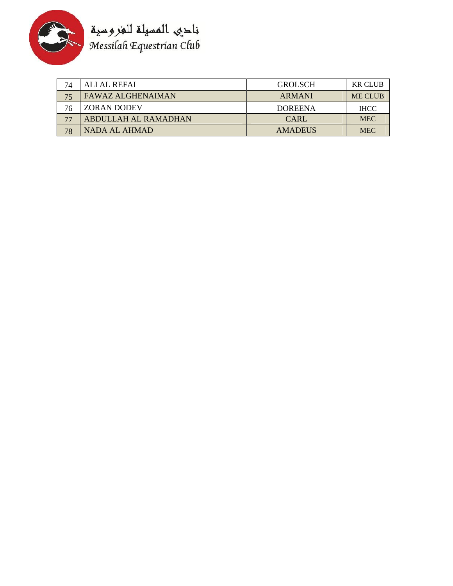

| 74 | ALI AL REFAI         | <b>GROLSCH</b> | <b>KR CLUB</b> |
|----|----------------------|----------------|----------------|
| 75 | FAWAZ ALGHENAIMAN    | ARMANI         | <b>ME CLUB</b> |
| 76 | <b>ZORAN DODEV</b>   | <b>DOREENA</b> | <b>IHCC</b>    |
|    | ABDULLAH AL RAMADHAN | <b>CARL</b>    | <b>MEC</b>     |
| 78 | NADA AL AHMAD        | <b>AMADEUS</b> | <b>MEC</b>     |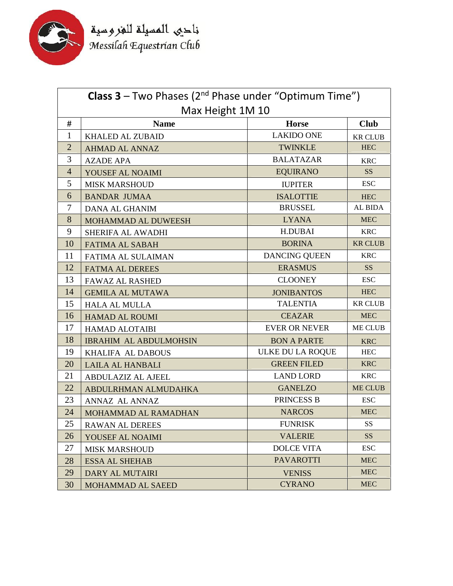

|                  | <b>Class 3</b> – Two Phases ( $2^{nd}$ Phase under "Optimum Time") |                      |                 |
|------------------|--------------------------------------------------------------------|----------------------|-----------------|
| Max Height 1M 10 |                                                                    |                      |                 |
| #                | <b>Name</b>                                                        | <b>Horse</b>         | <b>Club</b>     |
| $\mathbf{1}$     | <b>KHALED AL ZUBAID</b>                                            | <b>LAKIDO ONE</b>    | <b>KR CLUB</b>  |
| $\overline{2}$   | <b>AHMAD AL ANNAZ</b>                                              | <b>TWINKLE</b>       | <b>HEC</b>      |
| 3                | <b>AZADE APA</b>                                                   | <b>BALATAZAR</b>     | <b>KRC</b>      |
| $\overline{4}$   | YOUSEF AL NOAIMI                                                   | <b>EQUIRANO</b>      | SS <sub>1</sub> |
| 5                | <b>MISK MARSHOUD</b>                                               | <b>IUPITER</b>       | <b>ESC</b>      |
| 6                | <b>BANDAR JUMAA</b>                                                | <b>ISALOTTIE</b>     | <b>HEC</b>      |
| $\tau$           | <b>DANA AL GHANIM</b>                                              | <b>BRUSSEL</b>       | AL BIDA         |
| 8                | MOHAMMAD AL DUWEESH                                                | <b>LYANA</b>         | <b>MEC</b>      |
| 9                | SHERIFA AL AWADHI                                                  | <b>H.DUBAI</b>       | <b>KRC</b>      |
| 10               | <b>FATIMA AL SABAH</b>                                             | <b>BORINA</b>        | <b>KR CLUB</b>  |
| 11               | FATIMA AL SULAIMAN                                                 | <b>DANCING QUEEN</b> | <b>KRC</b>      |
| 12               | <b>FATMA AL DEREES</b>                                             | <b>ERASMUS</b>       | <b>SS</b>       |
| 13               | <b>FAWAZ AL RASHED</b>                                             | <b>CLOONEY</b>       | <b>ESC</b>      |
| 14               | <b>GEMILA AL MUTAWA</b>                                            | <b>JONIBANTOS</b>    | <b>HEC</b>      |
| 15               | <b>HALA AL MULLA</b>                                               | <b>TALENTIA</b>      | <b>KR CLUB</b>  |
| 16               | <b>HAMAD AL ROUMI</b>                                              | <b>CEAZAR</b>        | <b>MEC</b>      |
| 17               | <b>HAMAD ALOTAIBI</b>                                              | <b>EVER OR NEVER</b> | <b>ME CLUB</b>  |
| 18               | <b>IBRAHIM AL ABDULMOHSIN</b>                                      | <b>BON A PARTE</b>   | <b>KRC</b>      |
| 19               | KHALIFA AL DABOUS                                                  | ULKE DU LA ROQUE     | <b>HEC</b>      |
| 20               | <b>LAILA AL HANBALI</b>                                            | <b>GREEN FILED</b>   | <b>KRC</b>      |
| 21               | <b>ABDULAZIZ AL AJEEL</b>                                          | <b>LAND LORD</b>     | <b>KRC</b>      |
| 22               | ABDULRHMAN ALMUDAHKA                                               | <b>GANELZO</b>       | <b>ME CLUB</b>  |
| 23               | ANNAZ AL ANNAZ                                                     | PRINCESS B           | <b>ESC</b>      |
| 24               | MOHAMMAD AL RAMADHAN                                               | <b>NARCOS</b>        | <b>MEC</b>      |
| 25               | <b>RAWAN AL DEREES</b>                                             | <b>FUNRISK</b>       | <b>SS</b>       |
| 26               | YOUSEF AL NOAIMI                                                   | <b>VALERIE</b>       | SS <sub>1</sub> |
| 27               | <b>MISK MARSHOUD</b>                                               | <b>DOLCE VITA</b>    | <b>ESC</b>      |
| 28               | <b>ESSA AL SHEHAB</b>                                              | <b>PAVAROTTI</b>     | <b>MEC</b>      |
| 29               | <b>DARY AL MUTAIRI</b>                                             | <b>VENISS</b>        | <b>MEC</b>      |
| 30               | MOHAMMAD AL SAEED                                                  | <b>CYRANO</b>        | <b>MEC</b>      |